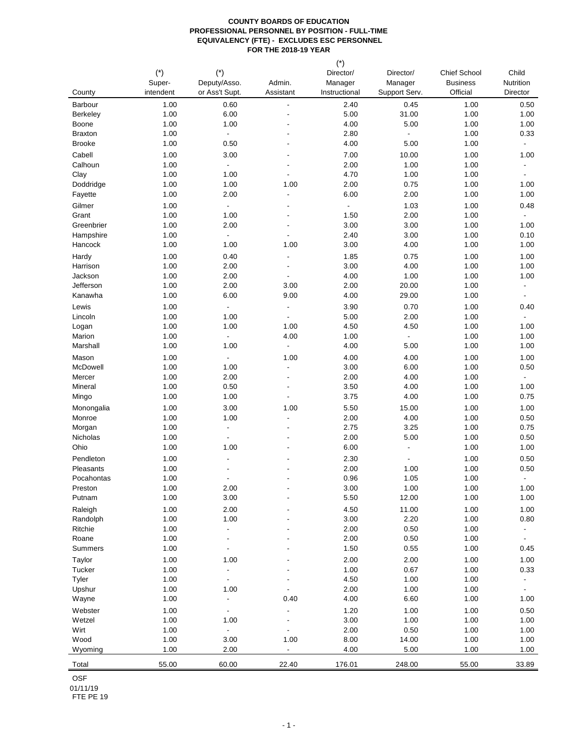| County           | $(*)$<br>Super-<br>intendent | $(*)$<br>Deputy/Asso.<br>or Ass't Supt.    | Admin.<br>Assistant              | $(*)$<br>Director/<br>Manager<br>Instructional | Director/<br>Manager<br>Support Serv. | <b>Chief School</b><br><b>Business</b><br>Official | Child<br>Nutrition<br>Director             |
|------------------|------------------------------|--------------------------------------------|----------------------------------|------------------------------------------------|---------------------------------------|----------------------------------------------------|--------------------------------------------|
| Barbour          | 1.00                         | 0.60                                       | $\blacksquare$                   | 2.40                                           | 0.45                                  | 1.00                                               | 0.50                                       |
| Berkeley         | 1.00                         | 6.00                                       |                                  | 5.00                                           | 31.00                                 | 1.00                                               | 1.00                                       |
| Boone            | 1.00                         | 1.00                                       |                                  | 4.00                                           | 5.00                                  | 1.00                                               | 1.00                                       |
| <b>Braxton</b>   | 1.00                         | $\Box$                                     |                                  | 2.80                                           | $\blacksquare$                        | 1.00                                               | 0.33                                       |
| <b>Brooke</b>    | 1.00                         | 0.50                                       |                                  | 4.00                                           | 5.00                                  | 1.00                                               | $\overline{\phantom{a}}$                   |
| Cabell           | 1.00                         | 3.00                                       |                                  | 7.00                                           | 10.00                                 | 1.00                                               | 1.00                                       |
| Calhoun          | 1.00                         | $\Box$                                     | $\blacksquare$                   | 2.00                                           | 1.00                                  | 1.00                                               |                                            |
| Clay             | 1.00                         | 1.00                                       |                                  | 4.70                                           | 1.00                                  | 1.00                                               | $\blacksquare$                             |
| Doddridge        | 1.00                         | 1.00                                       | 1.00                             | 2.00                                           | 0.75                                  | 1.00                                               | 1.00                                       |
| Fayette          | 1.00                         | 2.00                                       | ÷,                               | 6.00                                           | 2.00                                  | 1.00                                               | 1.00                                       |
| Gilmer           | 1.00                         | $\blacksquare$                             | $\blacksquare$                   | $\overline{\phantom{a}}$                       | 1.03                                  | 1.00                                               | 0.48                                       |
| Grant            | 1.00                         | 1.00                                       |                                  | 1.50                                           | 2.00                                  | 1.00                                               | $\blacksquare$                             |
| Greenbrier       | 1.00                         | 2.00                                       |                                  | 3.00                                           | 3.00                                  | 1.00                                               | 1.00                                       |
| Hampshire        | 1.00                         | $\overline{\phantom{a}}$                   | ä,                               | 2.40                                           | 3.00                                  | 1.00                                               | 0.10                                       |
| Hancock          | 1.00                         | 1.00                                       | 1.00                             | 3.00                                           | 4.00                                  | 1.00                                               | 1.00                                       |
| Hardy            | 1.00                         | 0.40                                       |                                  | 1.85                                           | 0.75                                  | 1.00                                               | 1.00                                       |
| Harrison         | 1.00                         | 2.00                                       |                                  | 3.00                                           | 4.00                                  | 1.00                                               | 1.00                                       |
| Jackson          | 1.00                         | 2.00                                       | ä,                               | 4.00                                           | 1.00                                  | 1.00                                               | 1.00                                       |
| Jefferson        | 1.00                         | 2.00                                       | 3.00                             | 2.00                                           | 20.00                                 | 1.00                                               | $\overline{\phantom{a}}$                   |
| Kanawha          | 1.00                         | 6.00                                       | 9.00                             | 4.00                                           | 29.00                                 | 1.00                                               | $\overline{\phantom{a}}$                   |
| Lewis            | 1.00                         | $\blacksquare$                             | $\overline{\phantom{a}}$         | 3.90                                           | 0.70                                  | 1.00                                               | 0.40                                       |
| Lincoln          | 1.00<br>1.00                 | 1.00<br>1.00                               | $\overline{\phantom{a}}$<br>1.00 | 5.00<br>4.50                                   | 2.00<br>4.50                          | 1.00<br>1.00                                       | $\overline{\phantom{a}}$<br>1.00           |
| Logan<br>Marion  | 1.00                         | $\Box$                                     | 4.00                             | 1.00                                           | $\blacksquare$                        | 1.00                                               | 1.00                                       |
| Marshall         | 1.00                         | 1.00                                       | ÷,                               | 4.00                                           | 5.00                                  | 1.00                                               | 1.00                                       |
| Mason            | 1.00                         | $\blacksquare$                             | 1.00                             | 4.00                                           | 4.00                                  | 1.00                                               | 1.00                                       |
| McDowell         | 1.00                         | 1.00                                       | ÷,                               | 3.00                                           | 6.00                                  | 1.00                                               | 0.50                                       |
| Mercer           | 1.00                         | 2.00                                       | $\overline{\phantom{a}}$         | 2.00                                           | 4.00                                  | 1.00                                               | $\overline{\phantom{a}}$                   |
| Mineral          | 1.00                         | 0.50                                       | $\blacksquare$                   | 3.50                                           | 4.00                                  | 1.00                                               | 1.00                                       |
| Mingo            | 1.00                         | 1.00                                       | $\blacksquare$                   | 3.75                                           | 4.00                                  | 1.00                                               | 0.75                                       |
| Monongalia       | 1.00                         | 3.00                                       | 1.00                             | 5.50                                           | 15.00                                 | 1.00                                               | 1.00                                       |
| Monroe           | 1.00                         | 1.00                                       | $\blacksquare$                   | 2.00                                           | 4.00                                  | 1.00                                               | 0.50                                       |
| Morgan           | 1.00                         | $\blacksquare$                             | $\blacksquare$                   | 2.75                                           | 3.25                                  | 1.00                                               | 0.75                                       |
| Nicholas         | 1.00                         | $\blacksquare$                             |                                  | 2.00                                           | 5.00                                  | 1.00                                               | 0.50                                       |
| Ohio             | 1.00                         | 1.00                                       |                                  | 6.00                                           | $\overline{a}$                        | 1.00                                               | 1.00                                       |
| Pendleton        | 1.00                         |                                            |                                  | 2.30                                           |                                       | 1.00                                               | 0.50                                       |
| Pleasants        | 1.00                         |                                            |                                  | 2.00                                           | 1.00                                  | 1.00                                               | 0.50                                       |
| Pocahontas       | 1.00                         |                                            |                                  | 0.96                                           | 1.05                                  | 1.00                                               |                                            |
| Preston          | 1.00                         | 2.00                                       |                                  | 3.00                                           | 1.00                                  | 1.00                                               | 1.00                                       |
| Putnam           | 1.00                         | 3.00                                       |                                  | 5.50                                           | 12.00                                 | 1.00                                               | 1.00                                       |
| Raleigh          | 1.00                         | 2.00                                       |                                  | 4.50                                           | 11.00                                 | 1.00                                               | 1.00                                       |
| Randolph         | 1.00                         | 1.00                                       |                                  | 3.00                                           | 2.20                                  | 1.00                                               | 0.80                                       |
| Ritchie<br>Roane | 1.00<br>1.00                 | $\blacksquare$<br>$\overline{\phantom{0}}$ |                                  | 2.00<br>2.00                                   | 0.50<br>0.50                          | 1.00<br>1.00                                       | $\blacksquare$<br>$\overline{\phantom{a}}$ |
| Summers          | 1.00                         |                                            |                                  | 1.50                                           | 0.55                                  | 1.00                                               | 0.45                                       |
| Taylor           | 1.00                         | 1.00                                       |                                  | 2.00                                           | 2.00                                  | 1.00                                               | 1.00                                       |
| Tucker           | 1.00                         | $\overline{\phantom{a}}$                   |                                  | 1.00                                           | 0.67                                  | 1.00                                               | 0.33                                       |
| Tyler            | 1.00                         | $\blacksquare$                             |                                  | 4.50                                           | 1.00                                  | 1.00                                               | ٠                                          |
| Upshur           | 1.00                         | 1.00                                       |                                  | 2.00                                           | 1.00                                  | 1.00                                               | $\blacksquare$                             |
| Wayne            | 1.00                         | $\blacksquare$                             | 0.40                             | 4.00                                           | 6.60                                  | 1.00                                               | 1.00                                       |
| Webster          | 1.00                         | $\blacksquare$                             |                                  | 1.20                                           | 1.00                                  | 1.00                                               | 0.50                                       |
| Wetzel           | 1.00                         | 1.00                                       |                                  | 3.00                                           | 1.00                                  | 1.00                                               | 1.00                                       |
| Wirt             | 1.00                         | $\blacksquare$                             | $\overline{\phantom{a}}$         | 2.00                                           | 0.50                                  | 1.00                                               | 1.00                                       |
| Wood             | 1.00                         | 3.00                                       | 1.00                             | 8.00                                           | 14.00                                 | 1.00                                               | 1.00                                       |
| Wyoming          | 1.00                         | 2.00                                       | $\blacksquare$                   | 4.00                                           | 5.00                                  | 1.00                                               | 1.00                                       |
| Total            | 55.00                        | 60.00                                      | 22.40                            | 176.01                                         | 248.00                                | 55.00                                              | 33.89                                      |

OSF

01/11/19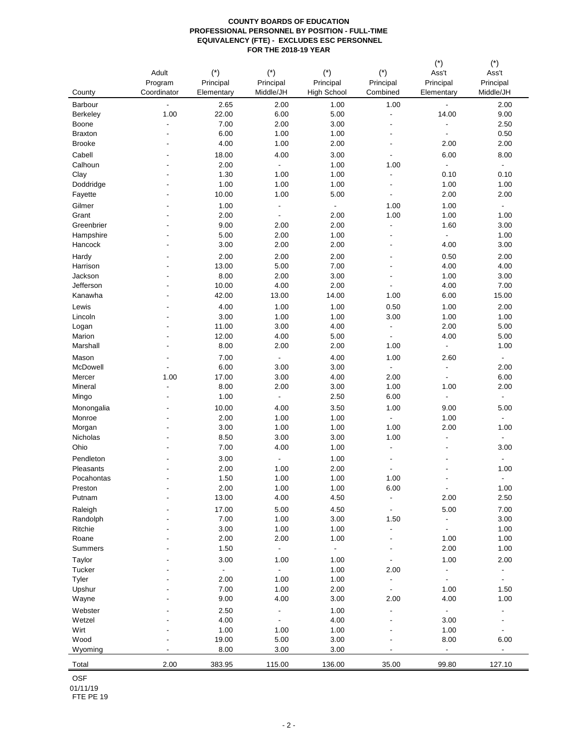|                        |                  |                    |                          |                          |                                  | $(\hbox{}^\star)$        | $(\hbox{}^\star)$        |
|------------------------|------------------|--------------------|--------------------------|--------------------------|----------------------------------|--------------------------|--------------------------|
|                        | Adult<br>Program | $(*)$<br>Principal | $(*)$<br>Principal       | $(*)$<br>Principal       | $(*)$<br>Principal               | Ass't<br>Principal       | Ass't<br>Principal       |
| County                 | Coordinator      | Elementary         | Middle/JH                | <b>High School</b>       | Combined                         | Elementary               | Middle/JH                |
| Barbour                | $\blacksquare$   | 2.65               | 2.00                     | 1.00                     | 1.00                             | $\blacksquare$           | 2.00                     |
| Berkeley               | 1.00             | 22.00              | 6.00                     | 5.00                     | $\blacksquare$                   | 14.00                    | 9.00                     |
| Boone                  | $\frac{1}{2}$    | 7.00               | 2.00                     | 3.00                     | ÷,                               | $\frac{1}{2}$            | 2.50                     |
| <b>Braxton</b>         | ÷,               | 6.00               | 1.00                     | 1.00                     | $\overline{\phantom{a}}$         | $\blacksquare$           | 0.50                     |
| <b>Brooke</b>          |                  | 4.00               | 1.00                     | 2.00                     | ÷,                               | 2.00                     | 2.00                     |
| Cabell                 |                  | 18.00              | 4.00                     | 3.00                     | $\overline{\phantom{a}}$         | 6.00                     | 8.00                     |
| Calhoun                |                  | 2.00               | $\overline{\phantom{a}}$ | 1.00                     | 1.00                             | $\blacksquare$           | $\blacksquare$           |
| Clay                   |                  | 1.30               | 1.00                     | 1.00                     | $\overline{\phantom{a}}$         | 0.10                     | 0.10                     |
| Doddridge              |                  | 1.00               | 1.00                     | 1.00                     | $\overline{\phantom{a}}$         | 1.00                     | 1.00                     |
| Fayette                |                  | 10.00              | 1.00                     | 5.00                     | $\overline{\phantom{a}}$         | 2.00                     | 2.00                     |
| Gilmer                 |                  | 1.00               | $\overline{\phantom{a}}$ | $\overline{\phantom{a}}$ | 1.00                             | 1.00                     | $\overline{\phantom{a}}$ |
| Grant                  |                  | 2.00               | $\blacksquare$           | 2.00                     | 1.00                             | 1.00                     | 1.00                     |
| Greenbrier             |                  | 9.00               | 2.00                     | 2.00                     | $\blacksquare$                   | 1.60                     | 3.00                     |
| Hampshire              |                  | 5.00               | 2.00                     | 1.00                     | $\overline{a}$                   | $\overline{\phantom{a}}$ | 1.00                     |
| Hancock                |                  | 3.00               | 2.00                     | 2.00                     | ÷,                               | 4.00                     | 3.00                     |
| Hardy                  |                  | 2.00               | 2.00                     | 2.00                     | ٠                                | 0.50                     | 2.00                     |
| Harrison               |                  | 13.00              | 5.00                     | 7.00                     | ÷,                               | 4.00                     | 4.00                     |
| Jackson                |                  | 8.00               | 2.00                     | 3.00                     | $\overline{\phantom{a}}$         | 1.00                     | 3.00                     |
| Jefferson              |                  | 10.00              | 4.00                     | 2.00                     | $\overline{a}$                   | 4.00                     | 7.00                     |
| Kanawha                |                  | 42.00              | 13.00                    | 14.00                    | 1.00                             | 6.00                     | 15.00                    |
| Lewis                  |                  | 4.00               | 1.00                     | 1.00                     | 0.50                             | 1.00                     | 2.00                     |
| Lincoln                |                  | 3.00               | 1.00                     | 1.00                     | 3.00                             | 1.00                     | 1.00                     |
| Logan                  |                  | 11.00              | 3.00                     | 4.00                     | $\blacksquare$                   | 2.00                     | 5.00                     |
| Marion                 |                  | 12.00              | 4.00                     | 5.00                     | $\overline{\phantom{a}}$         | 4.00                     | 5.00                     |
| Marshall               |                  | 8.00               | 2.00                     | 2.00                     | 1.00                             | ÷.                       | 1.00                     |
| Mason                  |                  | 7.00               | $\blacksquare$           | 4.00                     | 1.00                             | 2.60                     | $\blacksquare$           |
| McDowell               | $\overline{a}$   | 6.00               | 3.00                     | 3.00                     | $\blacksquare$                   | $\overline{\phantom{a}}$ | 2.00                     |
| Mercer                 | 1.00             | 17.00              | 3.00                     | 4.00                     | 2.00                             | $\overline{\phantom{a}}$ | 6.00                     |
| Mineral                | $\overline{a}$   | 8.00               | 2.00                     | 3.00                     | 1.00                             | 1.00                     | 2.00                     |
| Mingo                  | ٠                | 1.00               | $\overline{\phantom{a}}$ | 2.50                     | 6.00                             | $\blacksquare$           | $\overline{\phantom{a}}$ |
| Monongalia             |                  | 10.00              | 4.00                     | 3.50                     | 1.00                             | 9.00                     | 5.00                     |
| Monroe                 |                  | 2.00               | 1.00                     | 1.00                     | $\blacksquare$                   | 1.00                     | $\overline{\phantom{a}}$ |
| Morgan<br>Nicholas     |                  | 3.00<br>8.50       | 1.00<br>3.00             | 1.00<br>3.00             | 1.00<br>1.00                     | 2.00<br>۰                | 1.00<br>$\blacksquare$   |
| Ohio                   |                  | 7.00               | 4.00                     | 1.00                     | $\overline{\phantom{a}}$         | ٠                        | 3.00                     |
|                        |                  |                    |                          |                          |                                  |                          |                          |
| Pendleton<br>Pleasants |                  | 3.00<br>2.00       | $\blacksquare$<br>1.00   | 1.00<br>2.00             | ٠                                |                          | $\blacksquare$<br>1.00   |
| Pocahontas             |                  | 1.50               | 1.00                     | 1.00                     | $\overline{\phantom{a}}$<br>1.00 |                          | $\blacksquare$           |
| Preston                | $\overline{a}$   | 2.00               | 1.00                     | 1.00                     | 6.00                             | ÷.                       | 1.00                     |
| Putnam                 |                  | 13.00              | 4.00                     | 4.50                     | $\blacksquare$                   | 2.00                     | 2.50                     |
| Raleigh                |                  | 17.00              | 5.00                     | 4.50                     | $\blacksquare$                   | 5.00                     | 7.00                     |
| Randolph               |                  | 7.00               | 1.00                     | 3.00                     | 1.50                             | $\blacksquare$           | 3.00                     |
| Ritchie                |                  | 3.00               | 1.00                     | 1.00                     | $\overline{\phantom{a}}$         | $\overline{\phantom{a}}$ | 1.00                     |
| Roane                  |                  | 2.00               | 2.00                     | 1.00                     | $\overline{\phantom{a}}$         | 1.00                     | 1.00                     |
| Summers                |                  | 1.50               | $\blacksquare$           | $\blacksquare$           | $\overline{\phantom{a}}$         | 2.00                     | 1.00                     |
| Taylor                 |                  | 3.00               | 1.00                     | 1.00                     | $\overline{\phantom{a}}$         | 1.00                     | 2.00                     |
| Tucker                 |                  | $\blacksquare$     | $\blacksquare$           | 1.00                     | 2.00                             | $\overline{\phantom{a}}$ | $\blacksquare$           |
| Tyler                  |                  | 2.00               | 1.00                     | 1.00                     | $\blacksquare$                   | $\overline{\phantom{a}}$ | $\blacksquare$           |
| Upshur                 |                  | 7.00               | 1.00                     | 2.00                     | $\blacksquare$                   | 1.00                     | 1.50                     |
| Wayne                  |                  | 9.00               | 4.00                     | 3.00                     | 2.00                             | 4.00                     | 1.00                     |
| Webster                |                  | 2.50               | $\overline{\phantom{a}}$ | 1.00                     | $\overline{\phantom{a}}$         | $\omega$                 |                          |
| Wetzel                 |                  | 4.00               | $\blacksquare$           | 4.00                     | $\overline{a}$                   | 3.00                     | $\overline{\phantom{a}}$ |
| Wirt                   |                  | 1.00               | 1.00                     | 1.00                     |                                  | 1.00                     | $\overline{\phantom{a}}$ |
| Wood                   |                  | 19.00              | 5.00                     | 3.00                     | ٠                                | 8.00                     | 6.00                     |
| Wyoming                | $\blacksquare$   | 8.00               | 3.00                     | 3.00                     | $\overline{\phantom{a}}$         | $\overline{\phantom{a}}$ | $\sim$                   |
| Total                  | 2.00             | 383.95             | 115.00                   | 136.00                   | 35.00                            | 99.80                    | 127.10                   |

OSF

01/11/19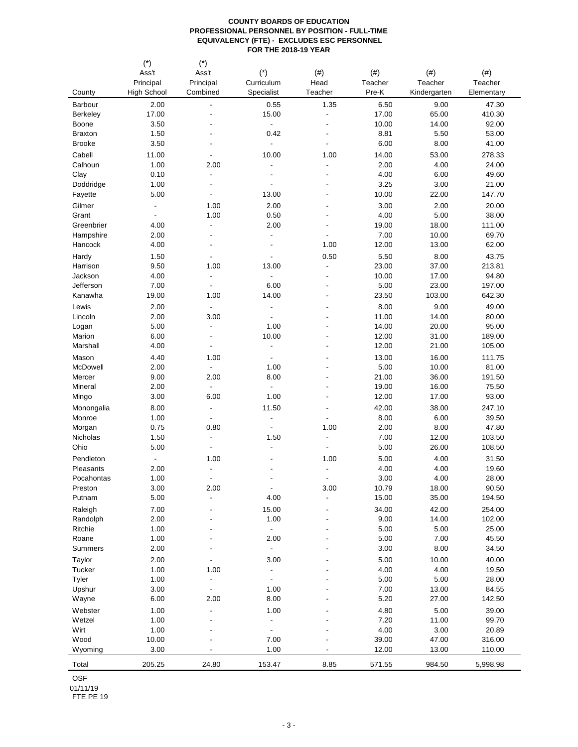|                        | $(\dot{\phantom{a}})$    | $(\dot{\phantom{a}})$                      |                                 |                                  |               |              |                 |
|------------------------|--------------------------|--------------------------------------------|---------------------------------|----------------------------------|---------------|--------------|-----------------|
|                        | Ass't                    | Ass't                                      | $(*)$                           | (# )                             | (# )          | (# )         | (# )            |
|                        | Principal                | Principal                                  | Curriculum                      | Head                             | Teacher       | Teacher      | Teacher         |
| County                 | High School              | Combined                                   | Specialist                      | Teacher                          | Pre-K         | Kindergarten | Elementary      |
| Barbour                | 2.00                     | $\overline{a}$                             | 0.55                            | 1.35                             | 6.50          | 9.00         | 47.30           |
| Berkeley               | 17.00                    | $\overline{a}$                             | 15.00                           | $\blacksquare$                   | 17.00         | 65.00        | 410.30          |
| Boone                  | 3.50                     |                                            | $\blacksquare$                  | $\overline{\phantom{a}}$         | 10.00         | 14.00        | 92.00           |
| <b>Braxton</b>         | 1.50                     |                                            | 0.42                            | $\overline{\phantom{a}}$         | 8.81          | 5.50         | 53.00           |
| <b>Brooke</b>          | 3.50                     |                                            | $\overline{a}$                  | $\overline{a}$                   | 6.00          | 8.00         | 41.00           |
| Cabell                 | 11.00                    |                                            | 10.00                           | 1.00                             | 14.00         | 53.00        | 278.33          |
| Calhoun                | 1.00                     | 2.00                                       | $\overline{a}$                  | $\blacksquare$                   | 2.00          | 4.00         | 24.00           |
| Clay                   | 0.10                     | $\overline{\phantom{a}}$                   | $\overline{a}$                  | $\overline{a}$                   | 4.00          | 6.00         | 49.60           |
| Doddridge              | 1.00                     | $\overline{\phantom{a}}$                   | ÷.                              | $\overline{\phantom{a}}$         | 3.25          | 3.00         | 21.00           |
| Fayette                | 5.00                     | $\overline{a}$                             | 13.00                           | ÷,                               | 10.00         | 22.00        | 147.70          |
| Gilmer                 | $\overline{\phantom{a}}$ | 1.00                                       | 2.00                            | ÷,                               | 3.00          | 2.00         | 20.00           |
| Grant                  | $\blacksquare$           | 1.00                                       | 0.50                            | $\overline{\phantom{a}}$         | 4.00          | 5.00         | 38.00           |
| Greenbrier             | 4.00                     | $\overline{\phantom{a}}$                   | 2.00                            |                                  | 19.00         | 18.00        | 111.00          |
| Hampshire              | 2.00                     | ÷,                                         | $\blacksquare$                  |                                  | 7.00          | 10.00        | 69.70           |
| Hancock                | 4.00                     |                                            |                                 | 1.00                             | 12.00         | 13.00        | 62.00           |
| Hardy                  | 1.50                     |                                            | ٠                               | 0.50                             | 5.50          | 8.00         | 43.75           |
| Harrison               | 9.50                     | 1.00                                       | 13.00                           | $\blacksquare$                   | 23.00         | 37.00        | 213.81          |
| Jackson                | 4.00                     | $\overline{\phantom{a}}$                   | $\overline{a}$                  | $\overline{\phantom{a}}$         | 10.00         | 17.00        | 94.80           |
| Jefferson              | 7.00                     |                                            | 6.00                            | $\overline{\phantom{a}}$         | 5.00          | 23.00        | 197.00          |
| Kanawha                | 19.00                    | 1.00                                       | 14.00                           | $\overline{\phantom{a}}$         | 23.50         | 103.00       | 642.30          |
| Lewis                  | 2.00                     | $\blacksquare$                             | $\frac{1}{2}$                   | ÷,                               | 8.00          | 9.00         | 49.00           |
| Lincoln                | 2.00                     | 3.00                                       |                                 | ÷,                               | 11.00         | 14.00        | 80.00           |
| Logan                  | 5.00                     | $\overline{\phantom{a}}$                   | 1.00                            |                                  | 14.00         | 20.00        | 95.00           |
| Marion                 | 6.00                     |                                            | 10.00                           | ٠                                | 12.00         | 31.00        | 189.00          |
| Marshall               | 4.00                     | $\overline{\phantom{a}}$                   | $\blacksquare$                  | $\overline{\phantom{a}}$         | 12.00         | 21.00        | 105.00          |
| Mason                  | 4.40                     | 1.00                                       | $\overline{\phantom{a}}$        | ٠                                | 13.00         | 16.00        | 111.75          |
| McDowell               | 2.00                     | $\blacksquare$                             | 1.00                            | ٠                                | 5.00          | 10.00        | 81.00           |
| Mercer                 | 9.00                     | 2.00                                       | 8.00                            | $\overline{\phantom{a}}$         | 21.00         | 36.00        | 191.50          |
| Mineral                | 2.00                     | $\blacksquare$                             | $\blacksquare$                  | $\overline{\phantom{a}}$         | 19.00         | 16.00        | 75.50           |
| Mingo                  | 3.00                     | 6.00                                       | 1.00                            | $\overline{\phantom{a}}$         | 12.00         | 17.00        | 93.00           |
|                        | 8.00                     | $\overline{\phantom{a}}$                   | 11.50                           | $\overline{\phantom{a}}$         | 42.00         | 38.00        | 247.10          |
| Monongalia<br>Monroe   | 1.00                     | $\overline{\phantom{a}}$                   | $\overline{a}$                  |                                  | 8.00          | 6.00         | 39.50           |
|                        | 0.75                     | 0.80                                       |                                 | 1.00                             | 2.00          | 8.00         | 47.80           |
| Morgan<br>Nicholas     | 1.50                     | $\overline{a}$                             | 1.50                            | $\overline{\phantom{a}}$         | 7.00          | 12.00        | 103.50          |
| Ohio                   | 5.00                     | ÷,                                         | $\blacksquare$                  | $\overline{\phantom{a}}$         | 5.00          | 26.00        | 108.50          |
|                        |                          |                                            |                                 |                                  |               |              |                 |
| Pendleton<br>Pleasants | $\blacksquare$           | 1.00<br>$\overline{a}$                     | ٠                               | 1.00<br>$\overline{\phantom{a}}$ | 5.00<br>4.00  | 4.00<br>4.00 | 31.50<br>19.60  |
| Pocahontas             | 2.00<br>1.00             | $\overline{\phantom{a}}$                   | ٠                               | $\blacksquare$                   | 3.00          | 4.00         | 28.00           |
| Preston                | 3.00                     | 2.00                                       | $\overline{\phantom{a}}$        | 3.00                             | 10.79         | 18.00        | 90.50           |
| Putnam                 | 5.00                     | $\blacksquare$                             | 4.00                            | $\overline{\phantom{a}}$         | 15.00         | 35.00        | 194.50          |
|                        |                          |                                            |                                 |                                  |               |              |                 |
| Raleigh                | 7.00<br>2.00             | ÷,                                         | 15.00<br>1.00                   | $\overline{\phantom{a}}$         | 34.00<br>9.00 | 42.00        | 254.00          |
| Randolph<br>Ritchie    | 1.00                     |                                            | ÷,                              |                                  | 5.00          | 14.00        | 102.00<br>25.00 |
| Roane                  | 1.00                     | $\overline{\phantom{a}}$                   | 2.00                            | ٠                                | 5.00          | 5.00<br>7.00 | 45.50           |
| <b>Summers</b>         | 2.00                     |                                            | $\blacksquare$                  |                                  | 3.00          | 8.00         | 34.50           |
|                        |                          |                                            |                                 |                                  |               |              |                 |
| Taylor<br>Tucker       | 2.00                     |                                            | 3.00                            |                                  | 5.00          | 10.00        | 40.00           |
|                        | 1.00                     | 1.00                                       | $\frac{1}{2}$<br>$\overline{a}$ |                                  | 4.00          | 4.00         | 19.50           |
| Tyler<br>Upshur        | 1.00                     | $\overline{\phantom{a}}$<br>$\blacksquare$ | 1.00                            |                                  | 5.00          | 5.00         | 28.00<br>84.55  |
|                        | 3.00                     |                                            | 8.00                            |                                  | 7.00          | 13.00        |                 |
| Wayne                  | 6.00                     | 2.00                                       |                                 |                                  | 5.20          | 27.00        | 142.50          |
| Webster                | 1.00                     | $\overline{a}$                             | 1.00                            |                                  | 4.80          | 5.00         | 39.00           |
| Wetzel                 | 1.00                     |                                            | $\overline{a}$                  |                                  | 7.20          | 11.00        | 99.70           |
| Wirt                   | 1.00                     |                                            |                                 |                                  | 4.00          | 3.00         | 20.89           |
| Wood                   | 10.00                    |                                            | 7.00                            |                                  | 39.00         | 47.00        | 316.00          |
| Wyoming                | 3.00                     |                                            | 1.00                            |                                  | 12.00         | 13.00        | 110.00          |
| Total                  | 205.25                   | 24.80                                      | 153.47                          | 8.85                             | 571.55        | 984.50       | 5,998.98        |

OSF

01/11/19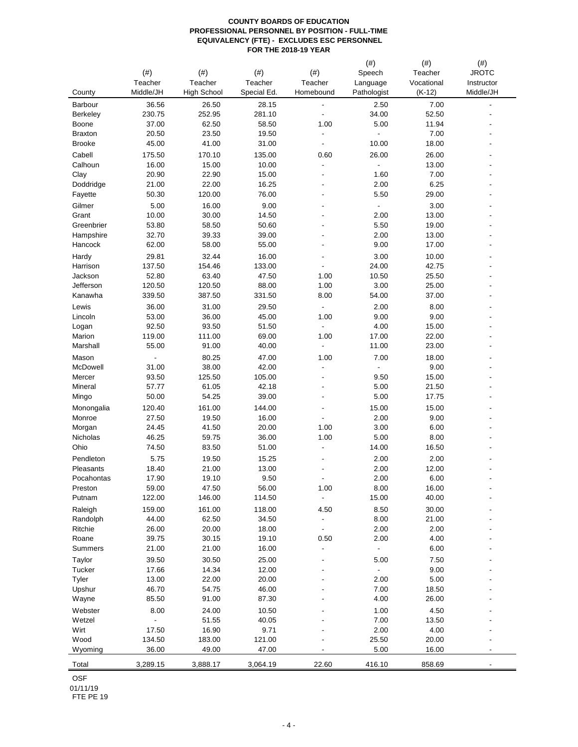|                      | (# )                     | (# )               | (# )           | $(\#)$                   | (# )<br>Speech           | $(\#)$<br>Teacher | $(\#)$<br><b>JROTC</b>   |
|----------------------|--------------------------|--------------------|----------------|--------------------------|--------------------------|-------------------|--------------------------|
|                      | Teacher                  | Teacher            | Teacher        | Teacher                  | Language                 | Vocational        | Instructor               |
| County               | Middle/JH                | <b>High School</b> | Special Ed.    | Homebound                | Pathologist              | $(K-12)$          | Middle/JH                |
| Barbour              | 36.56                    | 26.50              | 28.15          | $\overline{\phantom{0}}$ | 2.50                     | 7.00              |                          |
| <b>Berkeley</b>      | 230.75                   | 252.95             | 281.10         | $\overline{\phantom{0}}$ | 34.00                    | 52.50             |                          |
| Boone                | 37.00                    | 62.50              | 58.50          | 1.00                     | 5.00                     | 11.94             |                          |
| <b>Braxton</b>       | 20.50                    | 23.50              | 19.50          |                          |                          | 7.00              |                          |
| <b>Brooke</b>        | 45.00                    | 41.00              | 31.00          | $\overline{a}$           | 10.00                    | 18.00             |                          |
| Cabell               | 175.50                   | 170.10             | 135.00         | 0.60                     | 26.00                    | 26.00             |                          |
| Calhoun              | 16.00                    | 15.00              | 10.00          | $\overline{\phantom{0}}$ | $\blacksquare$           | 13.00             |                          |
| Clay                 | 20.90                    | 22.90              | 15.00          | ÷,                       | 1.60                     | 7.00              |                          |
| Doddridge<br>Fayette | 21.00<br>50.30           | 22.00<br>120.00    | 16.25<br>76.00 | $\overline{a}$           | 2.00<br>5.50             | 6.25<br>29.00     |                          |
|                      |                          |                    |                |                          | $\overline{a}$           |                   |                          |
| Gilmer<br>Grant      | 5.00<br>10.00            | 16.00<br>30.00     | 9.00<br>14.50  |                          | 2.00                     | 3.00<br>13.00     |                          |
| Greenbrier           | 53.80                    | 58.50              | 50.60          |                          | 5.50                     | 19.00             |                          |
| Hampshire            | 32.70                    | 39.33              | 39.00          |                          | 2.00                     | 13.00             |                          |
| Hancock              | 62.00                    | 58.00              | 55.00          |                          | 9.00                     | 17.00             |                          |
| Hardy                | 29.81                    | 32.44              | 16.00          |                          | 3.00                     | 10.00             |                          |
| Harrison             | 137.50                   | 154.46             | 133.00         | $\blacksquare$           | 24.00                    | 42.75             |                          |
| Jackson              | 52.80                    | 63.40              | 47.50          | 1.00                     | 10.50                    | 25.50             |                          |
| Jefferson            | 120.50                   | 120.50             | 88.00          | 1.00                     | 3.00                     | 25.00             |                          |
| Kanawha              | 339.50                   | 387.50             | 331.50         | 8.00                     | 54.00                    | 37.00             |                          |
| Lewis                | 36.00                    | 31.00              | 29.50          | $\blacksquare$           | 2.00                     | 8.00              |                          |
| Lincoln              | 53.00                    | 36.00              | 45.00          | 1.00                     | 9.00                     | 9.00              |                          |
| Logan                | 92.50                    | 93.50              | 51.50          |                          | 4.00                     | 15.00             |                          |
| Marion               | 119.00                   | 111.00             | 69.00          | 1.00                     | 17.00                    | 22.00             |                          |
| Marshall             | 55.00                    | 91.00              | 40.00          | $\blacksquare$           | 11.00                    | 23.00             |                          |
| Mason                | $\overline{\phantom{a}}$ | 80.25              | 47.00          | 1.00                     | 7.00                     | 18.00             |                          |
| McDowell             | 31.00                    | 38.00              | 42.00          | $\overline{\phantom{0}}$ | $\blacksquare$           | 9.00              |                          |
| Mercer               | 93.50                    | 125.50             | 105.00         | $\overline{a}$           | 9.50                     | 15.00             |                          |
| Mineral              | 57.77                    | 61.05              | 42.18          |                          | 5.00                     | 21.50             |                          |
| Mingo                | 50.00                    | 54.25              | 39.00          |                          | 5.00                     | 17.75             |                          |
| Monongalia           | 120.40                   | 161.00             | 144.00         | $\overline{a}$           | 15.00                    | 15.00             |                          |
| Monroe               | 27.50                    | 19.50              | 16.00          | $\overline{\phantom{0}}$ | 2.00                     | 9.00              |                          |
| Morgan               | 24.45                    | 41.50              | 20.00          | 1.00                     | 3.00                     | 6.00              |                          |
| Nicholas             | 46.25                    | 59.75              | 36.00          | 1.00                     | 5.00                     | 8.00              |                          |
| Ohio                 | 74.50                    | 83.50              | 51.00          | $\blacksquare$           | 14.00                    | 16.50             |                          |
| Pendleton            | 5.75                     | 19.50              | 15.25          |                          | 2.00                     | 2.00              |                          |
| Pleasants            | 18.40                    | 21.00              | 13.00          |                          | 2.00                     | 12.00             |                          |
| Pocahontas           | 17.90                    | 19.10              | 9.50           |                          | 2.00                     | 6.00              |                          |
| Preston              | 59.00                    | 47.50              | 56.00          | 1.00                     | 8.00                     | 16.00             |                          |
| Putnam               | 122.00                   | 146.00             | 114.50         | $\blacksquare$           | 15.00                    | 40.00             |                          |
| Raleigh              | 159.00                   | 161.00             | 118.00         | 4.50                     | 8.50                     | 30.00             |                          |
| Randolph             | 44.00                    | 62.50              | 34.50          | $\overline{\phantom{a}}$ | 8.00                     | 21.00             |                          |
| Ritchie              | 26.00                    | 20.00              | 18.00          | $\overline{\phantom{a}}$ | 2.00                     | 2.00              |                          |
| Roane                | 39.75                    | 30.15              | 19.10          | 0.50                     | 2.00                     | 4.00              |                          |
| Summers              | 21.00                    | 21.00              | 16.00          | $\overline{\phantom{0}}$ | $\overline{\phantom{a}}$ | 6.00              |                          |
| Taylor               | 39.50                    | 30.50              | 25.00          | $\overline{a}$           | 5.00                     | 7.50              |                          |
| Tucker               | 17.66                    | 14.34              | 12.00          |                          | $\blacksquare$           | 9.00              |                          |
| Tyler<br>Upshur      | 13.00                    | 22.00              | 20.00          |                          | 2.00                     | 5.00              |                          |
| Wayne                | 46.70<br>85.50           | 54.75<br>91.00     | 46.00<br>87.30 |                          | 7.00<br>4.00             | 18.50<br>26.00    |                          |
|                      |                          |                    |                |                          |                          |                   |                          |
| Webster              | 8.00                     | 24.00              | 10.50          |                          | 1.00                     | 4.50              |                          |
| Wetzel<br>Wirt       | 17.50                    | 51.55              | 40.05          |                          | 7.00                     | 13.50<br>4.00     |                          |
| Wood                 | 134.50                   | 16.90<br>183.00    | 9.71<br>121.00 |                          | 2.00<br>25.50            | 20.00             |                          |
| Wyoming              | 36.00                    | 49.00              | 47.00          | $\overline{\phantom{0}}$ | 5.00                     | 16.00             | $\overline{\phantom{a}}$ |
|                      |                          |                    |                |                          |                          |                   |                          |
| Total                | 3,289.15                 | 3,888.17           | 3,064.19       | 22.60                    | 416.10                   | 858.69            |                          |

OSF

01/11/19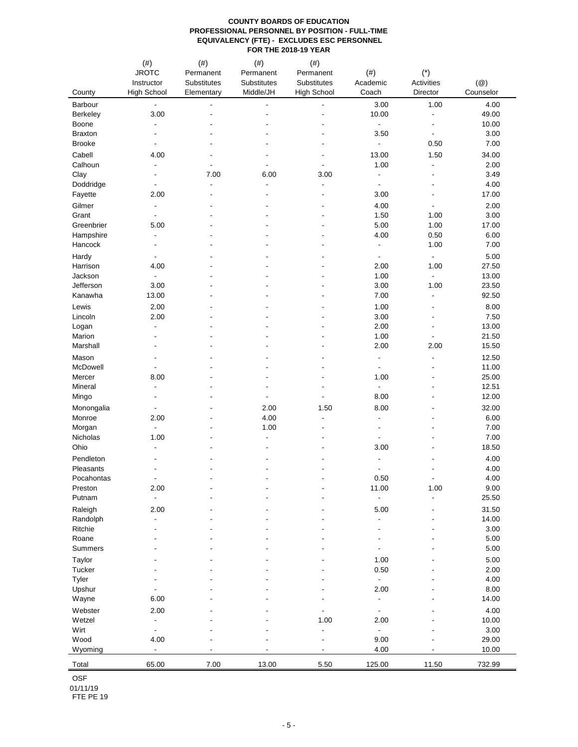|                     | (#)<br><b>JROTC</b><br>Instructor                    | $(\#)$<br>Permanent<br>Substitutes | $(\#)$<br>Permanent<br>Substitutes | $(\#)$<br>Permanent<br>Substitutes | $(\#)$<br>Academic       | $(\dot{a})$<br>Activities                            | $(\circleda)$<br>Counselor |
|---------------------|------------------------------------------------------|------------------------------------|------------------------------------|------------------------------------|--------------------------|------------------------------------------------------|----------------------------|
| County              | <b>High School</b>                                   | Elementary                         | Middle/JH                          | <b>High School</b>                 | Coach                    | Director                                             |                            |
| Barbour             | $\overline{\phantom{a}}$                             |                                    | $\blacksquare$                     |                                    | 3.00                     | 1.00                                                 | 4.00                       |
| Berkeley<br>Boone   | 3.00<br>$\overline{a}$                               |                                    | ÷,                                 |                                    | 10.00<br>÷,              | $\overline{\phantom{a}}$<br>$\overline{\phantom{a}}$ | 49.00<br>10.00             |
| <b>Braxton</b>      | $\overline{\phantom{a}}$                             |                                    |                                    |                                    | 3.50                     | $\overline{\phantom{a}}$                             | 3.00                       |
| <b>Brooke</b>       | $\overline{\phantom{a}}$                             |                                    |                                    |                                    | ٠                        | 0.50                                                 | 7.00                       |
| Cabell              | 4.00                                                 |                                    |                                    |                                    | 13.00                    | 1.50                                                 | 34.00                      |
| Calhoun             | $\overline{\phantom{a}}$                             | $\overline{\phantom{a}}$           | $\overline{\phantom{a}}$           | ÷,                                 | 1.00                     | $\blacksquare$                                       | 2.00                       |
| Clay                | $\overline{\phantom{a}}$                             | 7.00                               | 6.00                               | 3.00                               | $\overline{\phantom{a}}$ | $\overline{\phantom{a}}$                             | 3.49                       |
| Doddridge           | $\overline{\phantom{a}}$                             | $\overline{\phantom{a}}$           | $\blacksquare$                     | $\blacksquare$                     | $\overline{\phantom{a}}$ | $\overline{\phantom{a}}$                             | 4.00                       |
| Fayette             | 2.00                                                 |                                    |                                    | ÷,                                 | 3.00                     | $\overline{a}$                                       | 17.00                      |
| Gilmer              | $\overline{\phantom{a}}$                             |                                    |                                    |                                    | 4.00                     | $\overline{\phantom{a}}$                             | 2.00                       |
| Grant               | $\overline{\phantom{a}}$                             |                                    | ٠                                  | Ĭ.                                 | 1.50                     | 1.00                                                 | 3.00                       |
| Greenbrier          | 5.00                                                 |                                    |                                    |                                    | 5.00                     | 1.00                                                 | 17.00                      |
| Hampshire           | $\overline{a}$                                       |                                    |                                    |                                    | 4.00                     | 0.50                                                 | 6.00                       |
| Hancock             |                                                      |                                    |                                    |                                    | $\overline{\phantom{0}}$ | 1.00                                                 | 7.00                       |
| Hardy               | $\overline{\phantom{a}}$                             |                                    |                                    |                                    | $\blacksquare$           | $\blacksquare$                                       | 5.00                       |
| Harrison            | 4.00                                                 |                                    |                                    |                                    | 2.00                     | 1.00                                                 | 27.50                      |
| Jackson             | $\overline{\phantom{a}}$                             |                                    |                                    |                                    | 1.00                     | $\overline{\phantom{a}}$                             | 13.00                      |
| Jefferson           | 3.00                                                 |                                    |                                    |                                    | 3.00                     | 1.00                                                 | 23.50                      |
| Kanawha             | 13.00                                                |                                    |                                    |                                    | 7.00                     | $\overline{\phantom{a}}$                             | 92.50                      |
| Lewis               | 2.00                                                 |                                    |                                    |                                    | 1.00                     | ٠                                                    | 8.00                       |
| Lincoln             | 2.00                                                 |                                    |                                    |                                    | 3.00                     | ٠                                                    | 7.50                       |
| Logan<br>Marion     | $\overline{\phantom{a}}$<br>$\overline{\phantom{a}}$ |                                    |                                    |                                    | 2.00<br>1.00             | ÷,<br>$\blacksquare$                                 | 13.00<br>21.50             |
| Marshall            | $\overline{\phantom{a}}$                             |                                    |                                    |                                    | 2.00                     | 2.00                                                 | 15.50                      |
| Mason               | $\overline{\phantom{a}}$                             |                                    |                                    |                                    | $\overline{\phantom{a}}$ | $\overline{a}$                                       | 12.50                      |
| McDowell            |                                                      |                                    |                                    |                                    | $\overline{\phantom{a}}$ |                                                      | 11.00                      |
| Mercer              | 8.00                                                 |                                    |                                    |                                    | 1.00                     | ٠                                                    | 25.00                      |
| Mineral             | $\overline{\phantom{a}}$                             |                                    |                                    |                                    | $\overline{\phantom{a}}$ | ٠                                                    | 12.51                      |
| Mingo               | $\overline{\phantom{a}}$                             |                                    | $\overline{\phantom{a}}$           |                                    | 8.00                     | ٠                                                    | 12.00                      |
| Monongalia          | $\overline{\phantom{a}}$                             |                                    | 2.00                               | 1.50                               | 8.00                     | ٠                                                    | 32.00                      |
| Monroe              | 2.00                                                 |                                    | 4.00                               | $\overline{a}$                     | $\overline{\phantom{0}}$ |                                                      | 6.00                       |
| Morgan              | $\overline{\phantom{a}}$                             |                                    | 1.00                               |                                    | $\overline{\phantom{0}}$ |                                                      | 7.00                       |
| Nicholas            | 1.00                                                 |                                    | $\overline{\phantom{a}}$           |                                    | ä,                       |                                                      | 7.00                       |
| Ohio                | $\overline{a}$                                       |                                    | $\overline{\phantom{a}}$           |                                    | 3.00                     |                                                      | 18.50                      |
| Pendleton           |                                                      |                                    |                                    |                                    |                          |                                                      | 4.00                       |
| Pleasants           |                                                      |                                    |                                    |                                    |                          |                                                      | 4.00                       |
| Pocahontas          |                                                      |                                    | $\overline{\phantom{a}}$           |                                    | 0.50                     | ٠                                                    | 4.00                       |
| Preston<br>Putnam   | 2.00<br>$\blacksquare$                               |                                    |                                    |                                    | 11.00                    | 1.00<br>$\frac{1}{2}$                                | 9.00<br>25.50              |
|                     |                                                      |                                    |                                    |                                    |                          |                                                      |                            |
| Raleigh<br>Randolph | 2.00<br>÷,                                           |                                    |                                    |                                    | 5.00                     | ÷,                                                   | 31.50<br>14.00             |
| Ritchie             |                                                      |                                    |                                    |                                    |                          |                                                      | 3.00                       |
| Roane               |                                                      |                                    |                                    |                                    |                          | ٠                                                    | 5.00                       |
| Summers             |                                                      |                                    |                                    |                                    |                          |                                                      | 5.00                       |
| Taylor              |                                                      |                                    |                                    |                                    | 1.00                     |                                                      | 5.00                       |
| Tucker              |                                                      |                                    |                                    |                                    | $0.50\,$                 |                                                      | 2.00                       |
| Tyler               |                                                      |                                    |                                    |                                    | $\frac{1}{2}$            |                                                      | 4.00                       |
| Upshur              |                                                      |                                    |                                    |                                    | 2.00                     |                                                      | 8.00                       |
| Wayne               | 6.00                                                 |                                    |                                    |                                    |                          |                                                      | 14.00                      |
| Webster             | 2.00                                                 |                                    |                                    |                                    |                          |                                                      | 4.00                       |
| Wetzel              | $\overline{\phantom{a}}$                             |                                    |                                    | 1.00                               | 2.00                     |                                                      | 10.00                      |
| Wirt                | $\blacksquare$                                       |                                    |                                    | $\blacksquare$                     |                          |                                                      | 3.00                       |
| Wood                | 4.00                                                 |                                    |                                    | $\overline{\phantom{a}}$           | 9.00                     |                                                      | 29.00                      |
| Wyoming             | $\blacksquare$                                       |                                    |                                    |                                    | 4.00                     |                                                      | 10.00                      |
| Total               | 65.00                                                | 7.00                               | 13.00                              | 5.50                               | 125.00                   | 11.50                                                | 732.99                     |

OSF

01/11/19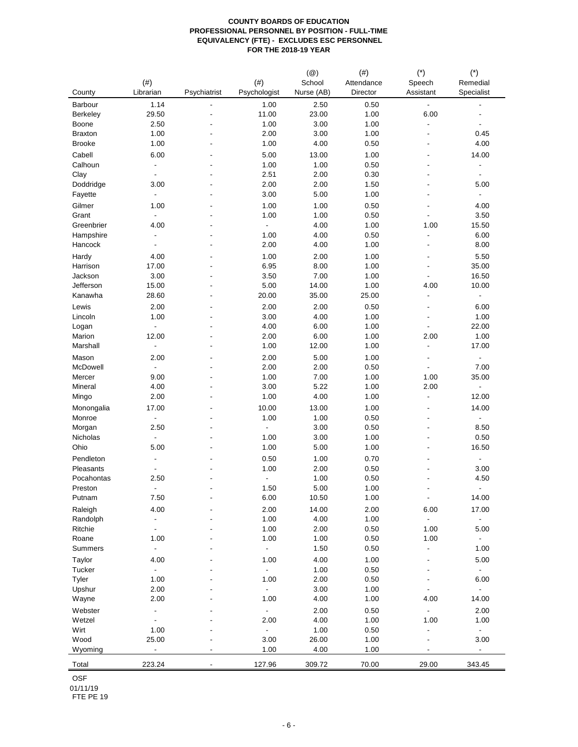| County             | $(\#)$<br>Librarian      | Psychiatrist             | $(\#)$<br>Psychologist | $(\circleda)$<br>School<br>Nurse (AB) | (# )<br>Attendance<br>Director | $(*)$<br>Speech<br>Assistant | $(\hbox{}^\star)$<br>Remedial<br>Specialist |
|--------------------|--------------------------|--------------------------|------------------------|---------------------------------------|--------------------------------|------------------------------|---------------------------------------------|
| Barbour            | 1.14                     | $\overline{\phantom{a}}$ | 1.00                   | 2.50                                  | 0.50                           | $\blacksquare$               |                                             |
| Berkeley           | 29.50                    |                          | 11.00                  | 23.00                                 | 1.00                           | 6.00                         | ä,                                          |
| Boone              | 2.50                     |                          | 1.00                   | 3.00                                  | 1.00                           | $\overline{\phantom{a}}$     | ÷,                                          |
| <b>Braxton</b>     | 1.00                     |                          | 2.00                   | 3.00                                  | 1.00                           | $\overline{\phantom{a}}$     | 0.45                                        |
| <b>Brooke</b>      | 1.00                     |                          | 1.00                   | 4.00                                  | 0.50                           | ÷,                           | 4.00                                        |
| Cabell             | 6.00                     |                          | 5.00                   | 13.00                                 | 1.00                           |                              | 14.00                                       |
| Calhoun            | $\frac{1}{2}$            |                          | 1.00                   | 1.00                                  | 0.50                           |                              | $\overline{\phantom{a}}$                    |
| Clay               | $\blacksquare$           |                          | 2.51                   | 2.00                                  | 0.30                           |                              | $\blacksquare$                              |
| Doddridge          | 3.00                     |                          | 2.00                   | 2.00                                  | 1.50                           |                              | 5.00                                        |
| Fayette            | $\frac{1}{2}$            |                          | 3.00                   | 5.00                                  | 1.00                           |                              | $\blacksquare$                              |
| Gilmer             | 1.00                     |                          | 1.00                   | 1.00                                  | 0.50                           | $\overline{a}$               | 4.00                                        |
| Grant              | $\blacksquare$           |                          | 1.00                   | 1.00                                  | 0.50                           |                              | 3.50                                        |
| Greenbrier         | 4.00                     |                          | $\blacksquare$         | 4.00                                  | 1.00                           | 1.00                         | 15.50                                       |
| Hampshire          | $\overline{a}$           |                          | 1.00                   | 4.00                                  | 0.50                           | $\blacksquare$               | 6.00                                        |
| Hancock            |                          |                          | 2.00                   | 4.00                                  | 1.00                           | $\overline{\phantom{a}}$     | 8.00                                        |
| Hardy              | 4.00                     |                          | 1.00                   | 2.00                                  | 1.00                           |                              | 5.50                                        |
| Harrison           | 17.00                    |                          | 6.95                   | 8.00                                  | 1.00                           | $\overline{a}$               | 35.00                                       |
| Jackson            | 3.00                     |                          | 3.50                   | 7.00                                  | 1.00                           | $\overline{\phantom{a}}$     | 16.50                                       |
| Jefferson          | 15.00                    |                          | 5.00                   | 14.00                                 | 1.00                           | 4.00                         | 10.00                                       |
| Kanawha            | 28.60                    |                          | 20.00                  | 35.00                                 | 25.00                          | $\overline{\phantom{a}}$     | $\blacksquare$                              |
| Lewis              | 2.00                     |                          | 2.00                   | 2.00                                  | 0.50                           | $\overline{a}$               | 6.00                                        |
| Lincoln            | 1.00                     |                          | 3.00                   | 4.00                                  | 1.00                           | $\blacksquare$               | 1.00                                        |
| Logan              | ÷,                       |                          | 4.00                   | 6.00                                  | 1.00                           | $\overline{\phantom{a}}$     | 22.00                                       |
| Marion             | 12.00                    |                          | 2.00                   | 6.00                                  | 1.00                           | 2.00                         | 1.00                                        |
| Marshall           | $\frac{1}{2}$            |                          | 1.00                   | 12.00                                 | 1.00                           | $\overline{\phantom{a}}$     | 17.00                                       |
| Mason              | 2.00                     |                          | 2.00                   | 5.00                                  | 1.00                           | $\blacksquare$               | $\blacksquare$                              |
| McDowell           | $\blacksquare$           |                          | 2.00                   | 2.00                                  | 0.50                           | $\overline{\phantom{a}}$     | 7.00                                        |
| Mercer             | 9.00                     |                          | 1.00                   | 7.00                                  | 1.00                           | 1.00                         | 35.00                                       |
| Mineral            | 4.00                     |                          | 3.00                   | 5.22                                  | 1.00                           | 2.00                         | $\overline{\phantom{a}}$                    |
| Mingo              | 2.00                     |                          | 1.00                   | 4.00                                  | 1.00                           | $\overline{\phantom{a}}$     | 12.00                                       |
|                    |                          |                          |                        |                                       |                                |                              |                                             |
| Monongalia         | 17.00                    |                          | 10.00                  | 13.00                                 | 1.00                           | $\overline{a}$               | 14.00                                       |
| Monroe             | ÷,                       |                          | 1.00                   | 1.00                                  | 0.50                           | $\overline{a}$               | $\blacksquare$                              |
| Morgan<br>Nicholas | 2.50                     |                          | $\Box$                 | 3.00                                  | 0.50                           | $\overline{\phantom{a}}$     | 8.50                                        |
|                    |                          |                          | 1.00                   | 3.00                                  | 1.00                           |                              | 0.50                                        |
| Ohio               | 5.00                     |                          | 1.00                   | 5.00                                  | 1.00                           |                              | 16.50                                       |
| Pendleton          |                          |                          | 0.50                   | 1.00                                  | 0.70                           |                              | $\blacksquare$                              |
| Pleasants          |                          |                          | 1.00                   | 2.00                                  | 0.50                           |                              | 3.00                                        |
| Pocahontas         | 2.50                     |                          | ä,                     | 1.00                                  | 0.50                           |                              | 4.50                                        |
| Preston            | ٠                        |                          | 1.50                   | 5.00                                  | 1.00                           |                              | $\blacksquare$                              |
| Putnam             | 7.50                     |                          | 6.00                   | 10.50                                 | 1.00                           | $\blacksquare$               | 14.00                                       |
| Raleigh            | 4.00                     |                          | 2.00                   | 14.00                                 | 2.00                           | 6.00                         | 17.00                                       |
| Randolph           | $\frac{1}{2}$            |                          | 1.00                   | 4.00                                  | 1.00                           | $\mathbb{Z}^+$               | $\blacksquare$                              |
| Ritchie            | $\overline{\phantom{a}}$ |                          | 1.00                   | 2.00                                  | 0.50                           | 1.00                         | 5.00                                        |
| Roane              | 1.00                     |                          | 1.00                   | 1.00                                  | 0.50                           | 1.00                         | $\overline{\phantom{a}}$                    |
| Summers            | $\overline{\phantom{a}}$ |                          | $\blacksquare$         | 1.50                                  | 0.50                           | $\blacksquare$               | 1.00                                        |
| Taylor             | 4.00                     |                          | 1.00                   | 4.00                                  | 1.00                           | $\overline{\phantom{a}}$     | 5.00                                        |
| Tucker             | $\blacksquare$           |                          | $\blacksquare$         | 1.00                                  | 0.50                           | $\blacksquare$               | $\blacksquare$                              |
| Tyler              | 1.00                     |                          | 1.00                   | 2.00                                  | 0.50                           | $\overline{\phantom{a}}$     | 6.00                                        |
| Upshur             | 2.00                     |                          | $\blacksquare$         | 3.00                                  | 1.00                           | $\blacksquare$               | $\blacksquare$                              |
| Wayne              | 2.00                     |                          | 1.00                   | 4.00                                  | 1.00                           | 4.00                         | 14.00                                       |
| Webster            | -                        |                          | ÷.                     | 2.00                                  | 0.50                           | $\blacksquare$               | 2.00                                        |
| Wetzel             | $\overline{a}$           |                          | 2.00                   | 4.00                                  | 1.00                           | 1.00                         | 1.00                                        |
| Wirt               | 1.00                     |                          | $\blacksquare$         | 1.00                                  | 0.50                           | $\overline{\phantom{a}}$     | $\overline{\phantom{a}}$                    |
| Wood               | 25.00                    |                          | 3.00                   | 26.00                                 | 1.00                           | $\overline{\phantom{a}}$     | 3.00                                        |
| Wyoming            | $\blacksquare$           | $\overline{\phantom{a}}$ | 1.00                   | 4.00                                  | 1.00                           | $\overline{\phantom{a}}$     | $\blacksquare$                              |
| Total              | 223.24                   |                          | 127.96                 | 309.72                                | 70.00                          | 29.00                        | 343.45                                      |

OSF

01/11/19 FTE PE 19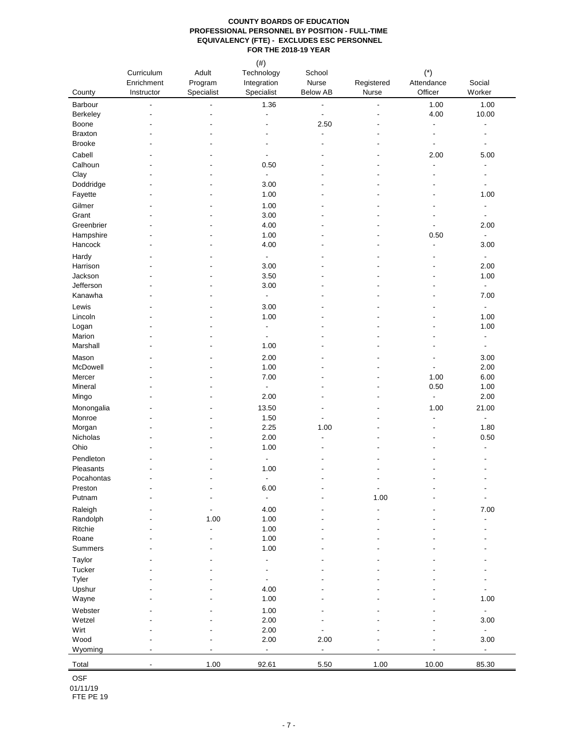|                         | Curriculum<br>Enrichment | Adult<br>Program         | $(\#)$<br>Technology<br>Integration        | School<br>Nurse                  | Registered               | $\left( ^{\ast }\right)$<br>Attendance               | Social                                     |
|-------------------------|--------------------------|--------------------------|--------------------------------------------|----------------------------------|--------------------------|------------------------------------------------------|--------------------------------------------|
| County                  | Instructor               | Specialist               | Specialist                                 | <b>Below AB</b>                  | Nurse                    | Officer                                              | Worker                                     |
| Barbour                 | $\overline{a}$           |                          | 1.36                                       | $\blacksquare$                   | $\blacksquare$           | 1.00                                                 | 1.00                                       |
| Berkeley                |                          |                          | $\overline{\phantom{a}}$                   | $\blacksquare$                   | $\overline{\phantom{a}}$ | 4.00                                                 | 10.00                                      |
| Boone<br><b>Braxton</b> |                          |                          | $\overline{\phantom{a}}$<br>÷,             | 2.50<br>$\overline{\phantom{a}}$ |                          | $\overline{\phantom{a}}$<br>$\overline{\phantom{a}}$ | $\overline{a}$<br>$\overline{\phantom{a}}$ |
| <b>Brooke</b>           |                          |                          | $\overline{\phantom{a}}$                   |                                  |                          | $\overline{\phantom{a}}$                             | $\overline{\phantom{a}}$                   |
| Cabell                  |                          |                          | $\overline{\phantom{a}}$                   |                                  |                          | 2.00                                                 | 5.00                                       |
| Calhoun                 |                          |                          | 0.50                                       |                                  |                          | $\overline{a}$                                       | $\overline{\phantom{a}}$                   |
| Clay                    |                          |                          | $\blacksquare$                             |                                  |                          | $\blacksquare$                                       | $\blacksquare$                             |
| Doddridge               |                          |                          | 3.00                                       |                                  |                          |                                                      | $\overline{\phantom{a}}$                   |
| Fayette                 |                          |                          | 1.00                                       |                                  |                          |                                                      | 1.00                                       |
| Gilmer                  |                          |                          | 1.00                                       |                                  |                          |                                                      | $\overline{\phantom{a}}$                   |
| Grant                   |                          |                          | 3.00                                       |                                  |                          |                                                      | $\overline{\phantom{a}}$                   |
| Greenbrier              |                          |                          | 4.00                                       |                                  |                          |                                                      | 2.00                                       |
| Hampshire<br>Hancock    |                          |                          | 1.00<br>4.00                               |                                  |                          | 0.50<br>$\overline{\phantom{a}}$                     | $\overline{\phantom{a}}$<br>3.00           |
| Hardy                   |                          |                          | ÷                                          |                                  |                          | $\overline{\phantom{a}}$                             | $\blacksquare$                             |
| Harrison                |                          |                          | 3.00                                       |                                  |                          |                                                      | 2.00                                       |
| Jackson                 |                          |                          | 3.50                                       |                                  |                          |                                                      | 1.00                                       |
| Jefferson               |                          |                          | 3.00                                       |                                  |                          |                                                      | $\overline{\phantom{a}}$                   |
| Kanawha                 | ٠                        |                          | $\overline{\phantom{a}}$                   |                                  |                          |                                                      | 7.00                                       |
| Lewis                   |                          |                          | 3.00                                       |                                  |                          |                                                      | $\overline{\phantom{a}}$                   |
| Lincoln                 |                          |                          | 1.00                                       |                                  |                          |                                                      | 1.00                                       |
| Logan                   |                          |                          | $\blacksquare$                             |                                  |                          |                                                      | 1.00                                       |
| Marion<br>Marshall      |                          |                          | $\blacksquare$<br>1.00                     |                                  |                          |                                                      | $\overline{\phantom{a}}$                   |
|                         |                          |                          |                                            |                                  |                          |                                                      | $\overline{\phantom{a}}$                   |
| Mason<br>McDowell       |                          |                          | 2.00<br>1.00                               |                                  |                          | $\blacksquare$                                       | 3.00<br>2.00                               |
| Mercer                  |                          |                          | 7.00                                       |                                  |                          | 1.00                                                 | 6.00                                       |
| Mineral                 |                          |                          | $\overline{\phantom{a}}$                   |                                  |                          | 0.50                                                 | 1.00                                       |
| Mingo                   |                          |                          | 2.00                                       |                                  |                          | $\blacksquare$                                       | 2.00                                       |
| Monongalia              |                          |                          | 13.50                                      |                                  |                          | 1.00                                                 | 21.00                                      |
| Monroe                  |                          |                          | 1.50                                       |                                  |                          | $\blacksquare$                                       | $\overline{\phantom{a}}$                   |
| Morgan                  |                          |                          | 2.25                                       | 1.00                             |                          | $\blacksquare$                                       | 1.80                                       |
| Nicholas                |                          |                          | 2.00                                       | ä,                               |                          | $\blacksquare$                                       | 0.50                                       |
| Ohio                    |                          |                          | 1.00                                       |                                  |                          |                                                      | $\overline{\phantom{a}}$                   |
| Pendleton               |                          |                          |                                            |                                  |                          |                                                      |                                            |
| Pleasants<br>Pocahontas |                          |                          | 1.00                                       |                                  |                          |                                                      |                                            |
| Preston                 |                          | $\overline{\phantom{a}}$ | 6.00                                       |                                  | $\overline{\phantom{a}}$ |                                                      | $\overline{\phantom{a}}$                   |
| Putnam                  |                          |                          | $\overline{\phantom{a}}$                   |                                  | 1.00                     |                                                      | $\blacksquare$                             |
| Raleigh                 |                          |                          | 4.00                                       |                                  | $\overline{a}$           |                                                      | 7.00                                       |
| Randolph                |                          | 1.00                     | 1.00                                       |                                  |                          |                                                      | $\blacksquare$                             |
| Ritchie                 |                          | $\overline{\phantom{a}}$ | 1.00                                       |                                  |                          |                                                      |                                            |
| Roane                   |                          | ÷,                       | 1.00                                       |                                  |                          |                                                      |                                            |
| Summers                 |                          |                          | 1.00                                       |                                  |                          |                                                      |                                            |
| Taylor                  |                          |                          | ÷                                          |                                  |                          |                                                      |                                            |
| Tucker<br>Tyler         |                          |                          | $\blacksquare$<br>$\overline{\phantom{a}}$ |                                  |                          |                                                      |                                            |
| Upshur                  |                          |                          | 4.00                                       |                                  |                          |                                                      | $\blacksquare$                             |
| Wayne                   |                          |                          | 1.00                                       |                                  |                          |                                                      | 1.00                                       |
| Webster                 |                          |                          | 1.00                                       |                                  |                          |                                                      | $\sim$                                     |
| Wetzel                  |                          |                          | 2.00                                       |                                  |                          |                                                      | 3.00                                       |
| Wirt                    |                          |                          | 2.00                                       | $\overline{\phantom{a}}$         |                          |                                                      | ÷.                                         |
| Wood                    |                          |                          | 2.00                                       | 2.00                             |                          |                                                      | 3.00                                       |
| Wyoming                 | $\overline{a}$           |                          | $\blacksquare$                             | $\overline{\phantom{a}}$         |                          |                                                      | $\overline{\phantom{a}}$                   |
| Total                   | $\blacksquare$           | 1.00                     | 92.61                                      | 5.50                             | 1.00                     | 10.00                                                | 85.30                                      |

OSF

01/11/19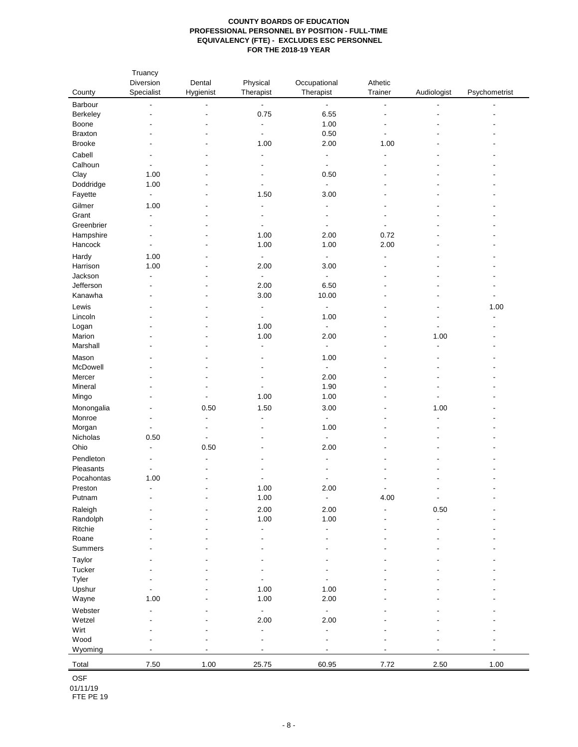| County         | Truancy<br>Diversion<br>Specialist | Dental<br>Hygienist      | Physical<br>Therapist    | Occupational<br>Therapist | Athetic<br>Trainer       | Audiologist                | Psychometrist            |
|----------------|------------------------------------|--------------------------|--------------------------|---------------------------|--------------------------|----------------------------|--------------------------|
| Barbour        | $\blacksquare$                     | $\overline{\phantom{a}}$ | $\blacksquare$           | $\blacksquare$            | $\blacksquare$           | $\blacksquare$             | $\overline{\phantom{a}}$ |
| Berkeley       |                                    | $\overline{\phantom{a}}$ | 0.75                     | 6.55                      | $\blacksquare$           |                            |                          |
| Boone          |                                    |                          | $\blacksquare$           | 1.00                      | $\overline{\phantom{a}}$ |                            |                          |
| <b>Braxton</b> |                                    |                          | $\overline{\phantom{a}}$ | 0.50                      | $\overline{\phantom{a}}$ |                            |                          |
| <b>Brooke</b>  |                                    |                          | 1.00                     | 2.00                      | 1.00                     |                            |                          |
|                |                                    |                          |                          |                           |                          |                            |                          |
| Cabell         |                                    |                          | $\overline{\phantom{0}}$ | $\overline{\phantom{a}}$  | $\overline{a}$           |                            |                          |
| Calhoun        |                                    |                          | $\overline{a}$           | $\overline{\phantom{a}}$  |                          |                            |                          |
| Clay           | 1.00                               |                          | $\overline{\phantom{a}}$ | 0.50                      |                          |                            |                          |
| Doddridge      | 1.00                               |                          | $\blacksquare$           | $\overline{\phantom{a}}$  |                          |                            |                          |
| Fayette        | $\blacksquare$                     |                          | 1.50                     | 3.00                      |                          |                            |                          |
| Gilmer         | 1.00                               |                          | $\overline{a}$           | $\overline{\phantom{a}}$  | $\overline{\phantom{0}}$ |                            |                          |
| Grant          | $\blacksquare$                     |                          | $\overline{\phantom{a}}$ | $\overline{\phantom{a}}$  | $\overline{\phantom{a}}$ |                            |                          |
| Greenbrier     | $\overline{\phantom{a}}$           |                          | $\overline{a}$           | $\overline{\phantom{a}}$  | $\blacksquare$           |                            |                          |
| Hampshire      | $\overline{\phantom{a}}$           |                          | 1.00                     | 2.00                      | 0.72                     |                            |                          |
| Hancock        | $\overline{\phantom{a}}$           |                          | 1.00                     | 1.00                      | 2.00                     |                            |                          |
| Hardy          | 1.00                               |                          | $\blacksquare$           | $\overline{\phantom{a}}$  | $\overline{a}$           |                            |                          |
| Harrison       | 1.00                               |                          | 2.00                     | 3.00                      |                          |                            |                          |
| Jackson        | $\blacksquare$                     |                          | $\blacksquare$           | $\blacksquare$            |                          |                            |                          |
| Jefferson      |                                    |                          | 2.00                     | 6.50                      |                          |                            |                          |
| Kanawha        |                                    |                          | 3.00                     | 10.00                     | Ĭ.                       |                            | ä,                       |
| Lewis          |                                    |                          | $\blacksquare$           | $\overline{\phantom{a}}$  |                          |                            | 1.00                     |
| Lincoln        |                                    |                          | $\blacksquare$           | 1.00                      |                          |                            |                          |
| Logan          |                                    |                          | 1.00                     | $\overline{\phantom{a}}$  |                          | $\blacksquare$             |                          |
| Marion         |                                    |                          | 1.00                     | 2.00                      | $\overline{\phantom{a}}$ |                            |                          |
| Marshall       |                                    |                          | $\blacksquare$           | $\overline{\phantom{a}}$  |                          | 1.00<br>$\overline{a}$     |                          |
|                |                                    |                          |                          |                           |                          |                            |                          |
| Mason          |                                    |                          | $\overline{a}$           | 1.00                      |                          |                            |                          |
| McDowell       |                                    |                          | $\overline{a}$           | $\blacksquare$            |                          |                            |                          |
| Mercer         |                                    |                          | $\overline{\phantom{0}}$ | 2.00                      |                          |                            |                          |
| Mineral        |                                    |                          | $\overline{\phantom{a}}$ | 1.90                      | $\overline{\phantom{0}}$ |                            |                          |
| Mingo          |                                    | $\overline{\phantom{a}}$ | 1.00                     | 1.00                      | ٠                        | $\blacksquare$             |                          |
| Monongalia     |                                    | 0.50                     | 1.50                     | 3.00                      | $\overline{\phantom{0}}$ | 1.00                       |                          |
| Monroe         |                                    | $\overline{\phantom{a}}$ | $\overline{a}$           | $\overline{\phantom{a}}$  |                          | $\blacksquare$             |                          |
| Morgan         | $\blacksquare$                     | $\overline{\phantom{a}}$ | $\overline{a}$           | 1.00                      |                          |                            |                          |
| Nicholas       | 0.50                               | $\blacksquare$           | $\overline{\phantom{0}}$ | $\blacksquare$            |                          |                            |                          |
| Ohio           | $\overline{a}$                     | 0.50                     |                          | 2.00                      |                          |                            |                          |
| Pendleton      |                                    |                          |                          |                           |                          |                            |                          |
| Pleasants      |                                    |                          |                          |                           |                          |                            |                          |
| Pocahontas     | 1.00                               |                          | $\blacksquare$           | $\overline{\phantom{a}}$  |                          |                            |                          |
| Preston        | $\overline{\phantom{a}}$           |                          | 1.00                     | 2.00                      |                          |                            |                          |
| Putnam         |                                    | $\overline{\phantom{a}}$ | 1.00                     | $\overline{\phantom{a}}$  | 4.00                     | $\overline{\phantom{a}}$   |                          |
| Raleigh        |                                    |                          |                          | 2.00                      |                          |                            |                          |
| Randolph       |                                    |                          | 2.00<br>1.00             | 1.00                      | Ĭ.                       | $0.50\,$<br>$\blacksquare$ |                          |
| Ritchie        |                                    |                          |                          |                           |                          |                            |                          |
|                |                                    |                          | $\blacksquare$           | $\overline{\phantom{a}}$  |                          |                            |                          |
| Roane          |                                    |                          | $\overline{a}$           | $\blacksquare$            |                          |                            |                          |
| Summers        |                                    |                          |                          |                           |                          |                            |                          |
| Taylor         |                                    |                          |                          |                           |                          |                            |                          |
| Tucker         |                                    |                          | $\overline{a}$           |                           |                          |                            |                          |
| Tyler          |                                    |                          | $\blacksquare$           | $\overline{\phantom{a}}$  |                          |                            |                          |
| Upshur         |                                    |                          | 1.00                     | 1.00                      |                          |                            |                          |
| Wayne          | 1.00                               |                          | 1.00                     | 2.00                      |                          |                            |                          |
| Webster        | $\overline{a}$                     |                          | $\blacksquare$           | $\blacksquare$            |                          |                            |                          |
| Wetzel         |                                    |                          | 2.00                     | 2.00                      |                          |                            |                          |
| Wirt           |                                    |                          | $\blacksquare$           | $\overline{\phantom{a}}$  |                          |                            |                          |
| Wood           |                                    |                          | Ĭ.                       | $\overline{\phantom{a}}$  |                          |                            |                          |
| Wyoming        | $\overline{a}$                     | $\blacksquare$           | $\blacksquare$           | $\overline{\phantom{a}}$  | $\overline{\phantom{a}}$ | $\overline{\phantom{a}}$   |                          |
|                |                                    |                          |                          |                           |                          |                            |                          |
| Total          | 7.50                               | 1.00                     | 25.75                    | 60.95                     | 7.72                     | 2.50                       | 1.00                     |

OSF

01/11/19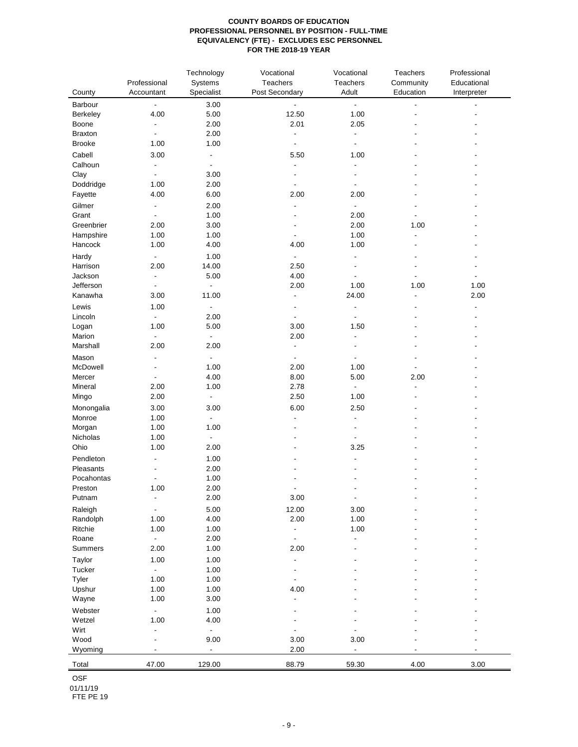| County              | Professional<br>Accountant | Technology<br>Systems<br>Specialist | Vocational<br>Teachers<br>Post Secondary | Vocational<br>Teachers<br>Adult | Teachers<br>Community<br>Education | Professional<br>Educational<br>Interpreter |
|---------------------|----------------------------|-------------------------------------|------------------------------------------|---------------------------------|------------------------------------|--------------------------------------------|
| Barbour             | $\overline{\phantom{a}}$   | 3.00                                |                                          | $\blacksquare$                  |                                    |                                            |
| Berkeley            | 4.00                       | 5.00                                | 12.50                                    | 1.00                            |                                    |                                            |
| Boone               | $\overline{\phantom{a}}$   | 2.00                                | 2.01                                     | 2.05                            |                                    |                                            |
| <b>Braxton</b>      | $\blacksquare$             | 2.00                                | $\overline{\phantom{a}}$                 | $\overline{\phantom{a}}$        |                                    |                                            |
| <b>Brooke</b>       | 1.00                       | 1.00                                | $\blacksquare$                           | $\blacksquare$                  |                                    |                                            |
| Cabell              | 3.00                       | $\overline{\phantom{0}}$            | 5.50                                     | 1.00                            |                                    |                                            |
| Calhoun             | $\overline{\phantom{a}}$   | ÷,                                  | ÷,                                       | $\overline{a}$                  |                                    |                                            |
| Clay                | $\blacksquare$             | 3.00                                |                                          |                                 |                                    |                                            |
| Doddridge           | 1.00                       | 2.00                                | $\overline{a}$                           | ÷,                              |                                    |                                            |
| Fayette             | 4.00                       | 6.00                                | 2.00                                     | 2.00                            |                                    |                                            |
|                     |                            |                                     | $\overline{a}$                           |                                 |                                    |                                            |
| Gilmer              | $\overline{\phantom{a}}$   | 2.00                                |                                          | $\blacksquare$                  |                                    |                                            |
| Grant<br>Greenbrier | $\blacksquare$<br>2.00     | 1.00                                |                                          | 2.00<br>2.00                    | 1.00                               |                                            |
|                     |                            | 3.00                                |                                          |                                 |                                    |                                            |
| Hampshire           | 1.00                       | 1.00                                | $\overline{\phantom{a}}$                 | 1.00                            |                                    |                                            |
| Hancock             | 1.00                       | 4.00                                | 4.00                                     | 1.00                            | $\overline{a}$                     |                                            |
| Hardy               | $\overline{\phantom{a}}$   | 1.00                                | $\frac{1}{2}$                            |                                 |                                    |                                            |
| Harrison            | 2.00                       | 14.00                               | 2.50                                     |                                 |                                    |                                            |
| Jackson             | $\overline{\phantom{a}}$   | 5.00                                | 4.00                                     | $\blacksquare$                  |                                    |                                            |
| Jefferson           | $\overline{\phantom{a}}$   | $\blacksquare$                      | 2.00                                     | 1.00                            | 1.00                               | 1.00                                       |
| Kanawha             | 3.00                       | 11.00                               | $\frac{1}{2}$                            | 24.00                           | ÷,                                 | 2.00                                       |
| Lewis               | 1.00                       | $\blacksquare$                      | ٠                                        | $\overline{\phantom{a}}$        |                                    | $\blacksquare$                             |
| Lincoln             | $\blacksquare$             | 2.00                                | $\overline{\phantom{a}}$                 | $\overline{a}$                  |                                    |                                            |
| Logan               | 1.00                       | 5.00                                | 3.00                                     | 1.50                            |                                    |                                            |
| Marion              | $\overline{\phantom{a}}$   | ÷                                   | 2.00                                     | $\blacksquare$                  |                                    |                                            |
| Marshall            | 2.00                       | 2.00                                | $\overline{a}$                           |                                 |                                    |                                            |
| Mason               | $\overline{\phantom{a}}$   |                                     |                                          |                                 |                                    |                                            |
| McDowell            | $\blacksquare$             | 1.00                                | 2.00                                     | 1.00                            |                                    |                                            |
| Mercer              | $\blacksquare$             | 4.00                                | 8.00                                     | 5.00                            | 2.00                               |                                            |
| Mineral             | 2.00                       | 1.00                                | 2.78                                     | $\overline{\phantom{a}}$        | $\blacksquare$                     |                                            |
| Mingo               | 2.00                       | $\blacksquare$                      | 2.50                                     | 1.00                            |                                    |                                            |
| Monongalia          | 3.00                       | 3.00                                | 6.00                                     | 2.50                            |                                    |                                            |
| Monroe              | 1.00                       | $\blacksquare$                      |                                          | $\blacksquare$                  |                                    |                                            |
| Morgan              | 1.00                       | 1.00                                |                                          | $\blacksquare$                  |                                    |                                            |
| Nicholas            | 1.00                       | $\overline{\phantom{a}}$            |                                          | $\overline{\phantom{a}}$        |                                    |                                            |
| Ohio                | 1.00                       | 2.00                                |                                          | 3.25                            |                                    |                                            |
| Pendleton           |                            | 1.00                                |                                          |                                 |                                    |                                            |
| Pleasants           |                            | 2.00                                |                                          |                                 |                                    |                                            |
| Pocahontas          | $\overline{\phantom{a}}$   | 1.00                                |                                          |                                 |                                    |                                            |
| Preston             | 1.00                       | 2.00                                |                                          |                                 |                                    |                                            |
| Putnam              | $\overline{\phantom{a}}$   | 2.00                                | $3.00\,$                                 | $\overline{\phantom{a}}$        |                                    |                                            |
|                     |                            |                                     |                                          |                                 |                                    |                                            |
| Raleigh             | $\overline{\phantom{a}}$   | 5.00                                | 12.00                                    | 3.00                            |                                    |                                            |
| Randolph            | 1.00                       | 4.00                                | 2.00                                     | 1.00                            |                                    |                                            |
| Ritchie             | 1.00                       | 1.00                                | ÷                                        | 1.00<br>Ĭ.                      |                                    |                                            |
| Roane               | $\blacksquare$             | 2.00                                | $\frac{1}{2}$                            |                                 |                                    |                                            |
| Summers             | 2.00                       | 1.00                                | 2.00                                     |                                 |                                    |                                            |
| Taylor              | 1.00                       | 1.00                                | ٠                                        |                                 |                                    |                                            |
| Tucker              | $\Box$                     | 1.00                                | ÷,                                       |                                 |                                    |                                            |
| Tyler               | 1.00                       | 1.00                                | $\overline{\phantom{a}}$                 |                                 |                                    |                                            |
| Upshur              | 1.00                       | 1.00                                | 4.00                                     |                                 |                                    |                                            |
| Wayne               | 1.00                       | 3.00                                | L                                        |                                 |                                    |                                            |
| Webster             | $\blacksquare$             | 1.00                                |                                          |                                 |                                    |                                            |
| Wetzel              | 1.00                       | 4.00                                |                                          |                                 |                                    |                                            |
| Wirt                | $\overline{\phantom{a}}$   | $\overline{a}$                      | $\overline{a}$                           | Ĭ.                              |                                    |                                            |
| Wood                | $\overline{a}$             | 9.00                                | 3.00                                     | 3.00                            |                                    |                                            |
| Wyoming             | $\overline{\phantom{a}}$   | $\overline{\phantom{0}}$            | 2.00                                     | $\overline{\phantom{0}}$        |                                    |                                            |
| Total               | 47.00                      | 129.00                              | 88.79                                    | 59.30                           | 4.00                               | 3.00                                       |

OSF

01/11/19